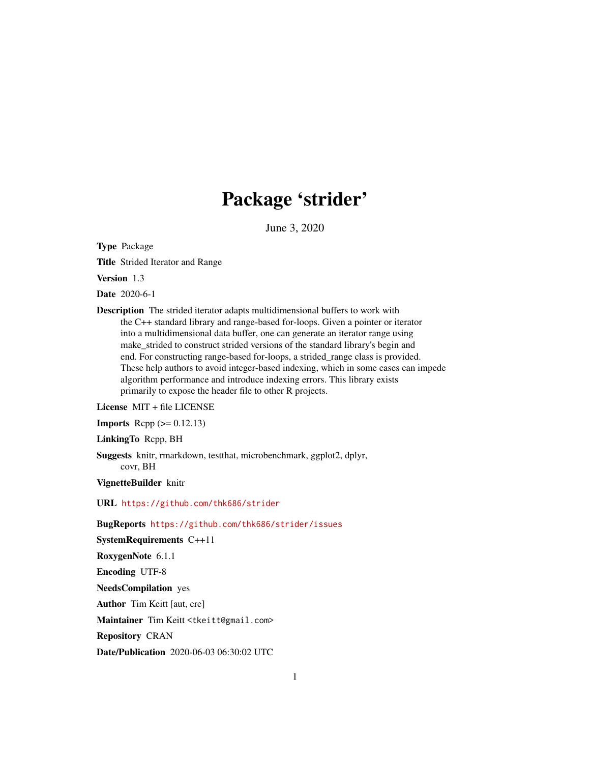## Package 'strider'

June 3, 2020

<span id="page-0-0"></span>Type Package

Title Strided Iterator and Range

Version 1.3

Date 2020-6-1

Description The strided iterator adapts multidimensional buffers to work with the C++ standard library and range-based for-loops. Given a pointer or iterator into a multidimensional data buffer, one can generate an iterator range using make\_strided to construct strided versions of the standard library's begin and end. For constructing range-based for-loops, a strided\_range class is provided. These help authors to avoid integer-based indexing, which in some cases can impede algorithm performance and introduce indexing errors. This library exists primarily to expose the header file to other R projects.

License MIT + file LICENSE

**Imports** Rcpp  $(>= 0.12.13)$ 

LinkingTo Rcpp, BH

Suggests knitr, rmarkdown, testthat, microbenchmark, ggplot2, dplyr, covr, BH

VignetteBuilder knitr

URL <https://github.com/thk686/strider>

BugReports <https://github.com/thk686/strider/issues>

SystemRequirements C++11

RoxygenNote 6.1.1

Encoding UTF-8

NeedsCompilation yes

Author Tim Keitt [aut, cre]

Maintainer Tim Keitt <tkeitt@gmail.com>

Repository CRAN

Date/Publication 2020-06-03 06:30:02 UTC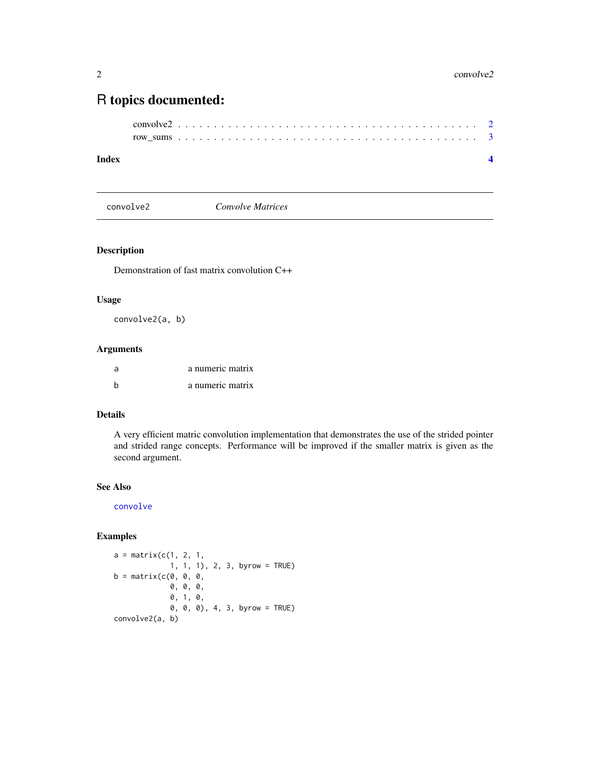### <span id="page-1-0"></span>R topics documented:

```
convolve2 . . . . . . . . . . . . . . . . . . . . . . . . . . . . . . . . . . . . . . . . . . 2
row_sums . . . . . . . . . . . . . . . . . . . . . . . . . . . . . . . . . . . . . . . . . . 3
```
#### **Index** [4](#page-3-0)

convolve2 *Convolve Matrices*

#### Description

Demonstration of fast matrix convolution C++

#### Usage

convolve2(a, b)

#### Arguments

| -a | a numeric matrix |
|----|------------------|
|    | a numeric matrix |

#### Details

A very efficient matric convolution implementation that demonstrates the use of the strided pointer and strided range concepts. Performance will be improved if the smaller matrix is given as the second argument.

#### See Also

[convolve](#page-0-0)

#### Examples

```
a = matrix(c(1, 2, 1,1, 1, 1), 2, 3, byrow = TRUE)
b = matrix(c(0, 0, 0,0, 0, 0,
             0, 1, 0,
             0, 0, 0), 4, 3, byrow = TRUE)
convolve2(a, b)
```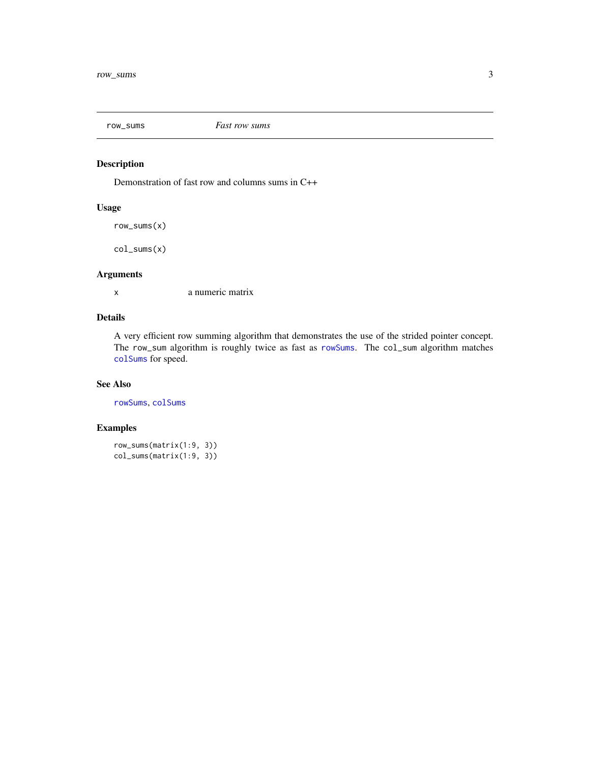<span id="page-2-0"></span>

#### Description

Demonstration of fast row and columns sums in C++

#### Usage

row\_sums(x)

col\_sums(x)

#### Arguments

x a numeric matrix

#### Details

A very efficient row summing algorithm that demonstrates the use of the strided pointer concept. The row\_sum algorithm is roughly twice as fast as [rowSums](#page-0-0). The col\_sum algorithm matches [colSums](#page-0-0) for speed.

#### See Also

[rowSums](#page-0-0), [colSums](#page-0-0)

#### Examples

```
row_sums(matrix(1:9, 3))
col_sums(matrix(1:9, 3))
```